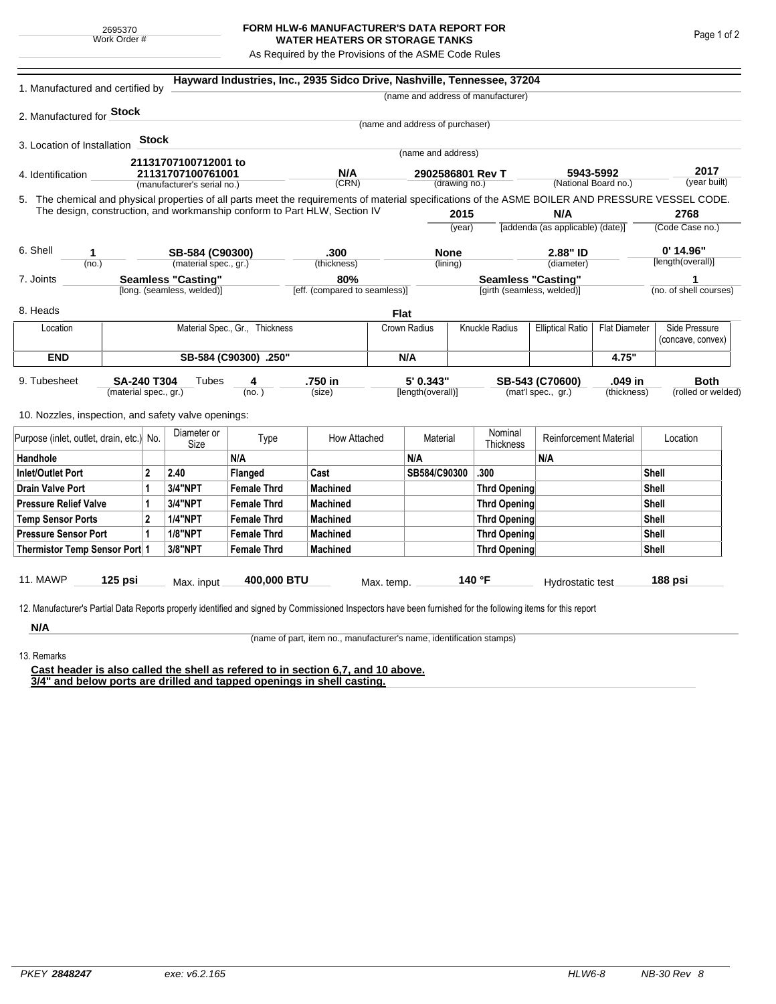## **FORM HLW-6 MANUFACTURER'S DATA REPORT FOR WATER HEATERS OR STORAGE TANKS**

As Required by the Provisions of the ASME Code Rules

| 1. Manufactured and certified by                                                                                                                              |  |                        |                                                  |                               | Hayward Industries, Inc., 2935 Sidco Drive, Nashville, Tennessee, 37204                                                                                                    |              |                                 |                |                                                                 |                                         |             |                                    |                      |  |
|---------------------------------------------------------------------------------------------------------------------------------------------------------------|--|------------------------|--------------------------------------------------|-------------------------------|----------------------------------------------------------------------------------------------------------------------------------------------------------------------------|--------------|---------------------------------|----------------|-----------------------------------------------------------------|-----------------------------------------|-------------|------------------------------------|----------------------|--|
|                                                                                                                                                               |  |                        |                                                  |                               |                                                                                                                                                                            |              |                                 |                | (name and address of manufacturer)                              |                                         |             |                                    |                      |  |
| 2. Manufactured for <b>Stock</b>                                                                                                                              |  |                        |                                                  |                               |                                                                                                                                                                            |              |                                 |                |                                                                 |                                         |             |                                    |                      |  |
|                                                                                                                                                               |  |                        |                                                  |                               |                                                                                                                                                                            |              | (name and address of purchaser) |                |                                                                 |                                         |             |                                    |                      |  |
| 3. Location of Installation                                                                                                                                   |  | <b>Stock</b>           |                                                  |                               |                                                                                                                                                                            |              |                                 |                |                                                                 |                                         |             |                                    |                      |  |
|                                                                                                                                                               |  |                        | 21131707100712001 to                             |                               |                                                                                                                                                                            |              | (name and address)              |                |                                                                 |                                         |             |                                    |                      |  |
| 4. Identification                                                                                                                                             |  |                        | 21131707100761001<br>(manufacturer's serial no.) |                               | N/A                                                                                                                                                                        |              | 2902586801 Rev T                |                |                                                                 |                                         | 5943-5992   |                                    | 2017<br>(year built) |  |
|                                                                                                                                                               |  | (CRN)<br>(drawing no.) |                                                  |                               | (National Board no.)<br>5. The chemical and physical properties of all parts meet the requirements of material specifications of the ASME BOILER AND PRESSURE VESSEL CODE. |              |                                 |                |                                                                 |                                         |             |                                    |                      |  |
| The design, construction, and workmanship conform to Part HLW, Section IV                                                                                     |  |                        |                                                  |                               |                                                                                                                                                                            |              |                                 |                |                                                                 |                                         |             |                                    |                      |  |
|                                                                                                                                                               |  |                        |                                                  |                               |                                                                                                                                                                            |              | 2015<br>(year)                  |                |                                                                 | N/A<br>[addenda (as applicable) (date)] |             | 2768<br>(Code Case no.)            |                      |  |
|                                                                                                                                                               |  |                        |                                                  |                               |                                                                                                                                                                            |              |                                 |                |                                                                 |                                         |             |                                    |                      |  |
| 6. Shell<br>1                                                                                                                                                 |  |                        | SB-584 (C90300)                                  |                               | .300                                                                                                                                                                       |              | <b>None</b>                     |                | 2.88" ID                                                        |                                         | $0'$ 14.96" |                                    |                      |  |
| (no.)                                                                                                                                                         |  |                        | (material spec., gr.)                            |                               |                                                                                                                                                                            | (thickness)  |                                 | (lining)       |                                                                 | (diameter)                              |             | [length(overall)]                  |                      |  |
| <b>Seamless "Casting"</b><br>7. Joints                                                                                                                        |  |                        |                                                  | 80%                           |                                                                                                                                                                            |              | <b>Seamless "Casting"</b>       |                |                                                                 | 1                                       |             |                                    |                      |  |
| [long. (seamless, welded)]                                                                                                                                    |  |                        |                                                  | [eff. (compared to seamless)] |                                                                                                                                                                            |              | [girth (seamless, welded)]      |                |                                                                 |                                         |             | (no. of shell courses)             |                      |  |
| 8. Heads                                                                                                                                                      |  |                        |                                                  |                               |                                                                                                                                                                            |              | Flat                            |                |                                                                 |                                         |             |                                    |                      |  |
| Material Spec., Gr., Thickness<br>Location                                                                                                                    |  |                        |                                                  |                               |                                                                                                                                                                            | Crown Radius |                                 | Knuckle Radius | <b>Elliptical Ratio</b><br><b>Flat Diameter</b>                 |                                         |             | Side Pressure<br>(concave, convex) |                      |  |
| <b>END</b>                                                                                                                                                    |  |                        |                                                  | SB-584 (C90300) .250"         |                                                                                                                                                                            |              | N/A                             |                |                                                                 | 4.75"                                   |             |                                    |                      |  |
|                                                                                                                                                               |  |                        |                                                  |                               |                                                                                                                                                                            |              |                                 |                |                                                                 |                                         |             |                                    |                      |  |
| 9. Tubesheet<br>SA-240 T304<br>(material spec., gr.)                                                                                                          |  |                        | Tubes<br>4<br>(no.)                              |                               | .750 in<br>(size)                                                                                                                                                          |              | 5' 0.343"<br>[length(overall)]  |                | .049 in<br>SB-543 (C70600)<br>(mat'l spec., gr.)<br>(thickness) |                                         |             | <b>Both</b><br>(rolled or welded)  |                      |  |
|                                                                                                                                                               |  |                        |                                                  |                               |                                                                                                                                                                            |              |                                 |                |                                                                 |                                         |             |                                    |                      |  |
| 10. Nozzles, inspection, and safety valve openings:                                                                                                           |  |                        |                                                  |                               |                                                                                                                                                                            |              |                                 |                |                                                                 |                                         |             |                                    |                      |  |
|                                                                                                                                                               |  | Diameter or            |                                                  |                               | How Attached                                                                                                                                                               |              | Material                        |                | <b>Reinforcement Material</b>                                   |                                         |             |                                    |                      |  |
| Purpose (inlet, outlet, drain, etc.) No.                                                                                                                      |  |                        | Size                                             | Type                          |                                                                                                                                                                            |              |                                 |                | Thickness                                                       |                                         |             | Location                           |                      |  |
| Handhole                                                                                                                                                      |  |                        |                                                  | N/A                           |                                                                                                                                                                            |              | N/A                             |                |                                                                 | N/A                                     |             |                                    |                      |  |
| $\overline{2}$<br><b>Inlet/Outlet Port</b>                                                                                                                    |  | 2.40                   | Flanged                                          | Cast                          |                                                                                                                                                                            | SB584/C90300 |                                 | .300           |                                                                 | Shell                                   |             |                                    |                      |  |
| <b>Drain Valve Port</b><br>1                                                                                                                                  |  |                        | 3/4"NPT                                          | <b>Female Thrd</b>            | <b>Machined</b>                                                                                                                                                            |              |                                 |                | <b>Thrd Opening</b>                                             |                                         |             |                                    | Shell                |  |
| <b>Pressure Relief Valve</b><br>1                                                                                                                             |  |                        | 3/4"NPT                                          | <b>Female Thrd</b>            | <b>Machined</b>                                                                                                                                                            |              |                                 |                | <b>Thrd Opening</b>                                             |                                         |             | Shell                              |                      |  |
| $\overline{2}$<br><b>Temp Sensor Ports</b>                                                                                                                    |  |                        | <b>1/4"NPT</b>                                   | <b>Female Thrd</b>            | <b>Machined</b>                                                                                                                                                            |              |                                 |                | <b>Thrd Opening</b>                                             |                                         |             |                                    | Shell                |  |
| <b>Pressure Sensor Port</b><br>1                                                                                                                              |  |                        | <b>1/8"NPT</b>                                   | <b>Female Thrd</b>            | <b>Machined</b>                                                                                                                                                            |              |                                 |                | <b>Thrd Opening</b>                                             |                                         |             |                                    | Shell                |  |
| Thermistor Temp Sensor Port 1                                                                                                                                 |  |                        | 3/8"NPT                                          | <b>Female Thrd</b>            | <b>Machined</b>                                                                                                                                                            |              |                                 |                | Thrd Opening                                                    |                                         | Shell       |                                    |                      |  |
| 11. MAWP<br>125 psi                                                                                                                                           |  | Max. input             | 400,000 BTU                                      |                               | Max. temp.                                                                                                                                                                 |              |                                 | 140 °F         | Hydrostatic test                                                |                                         |             | 188 psi                            |                      |  |
|                                                                                                                                                               |  |                        |                                                  |                               |                                                                                                                                                                            |              |                                 |                |                                                                 |                                         |             |                                    |                      |  |
| 12. Manufacturer's Partial Data Reports properly identified and signed by Commissioned Inspectors have been furnished for the following items for this report |  |                        |                                                  |                               |                                                                                                                                                                            |              |                                 |                |                                                                 |                                         |             |                                    |                      |  |
| N/A                                                                                                                                                           |  |                        |                                                  |                               |                                                                                                                                                                            |              |                                 |                |                                                                 |                                         |             |                                    |                      |  |

13. Remarks

(name of part, item no., manufacturer's name, identification stamps)

**Cast header is also called the shell as refered to in section 6,7, and 10 above. 3/4" and below ports are drilled and tapped openings in shell casting.**